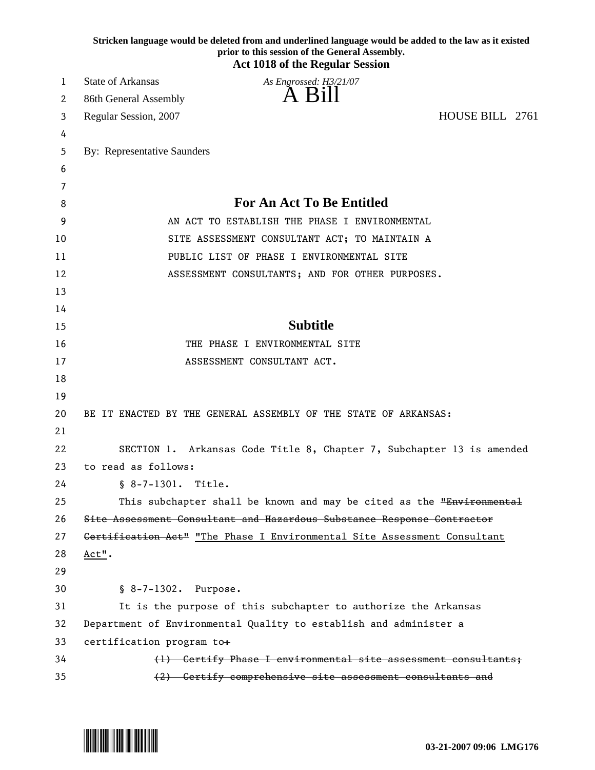|        | Stricken language would be deleted from and underlined language would be added to the law as it existed<br>prior to this session of the General Assembly. |
|--------|-----------------------------------------------------------------------------------------------------------------------------------------------------------|
|        | <b>Act 1018 of the Regular Session</b>                                                                                                                    |
| 1      | <b>State of Arkansas</b><br>As Engrossed: H3/21/07<br>A Bill                                                                                              |
| 2      | 86th General Assembly                                                                                                                                     |
| 3      | HOUSE BILL 2761<br>Regular Session, 2007                                                                                                                  |
| 4      |                                                                                                                                                           |
| 5      | By: Representative Saunders                                                                                                                               |
| 6<br>7 |                                                                                                                                                           |
| 8      | <b>For An Act To Be Entitled</b>                                                                                                                          |
| 9      | AN ACT TO ESTABLISH THE PHASE I ENVIRONMENTAL                                                                                                             |
| 10     | SITE ASSESSMENT CONSULTANT ACT; TO MAINTAIN A                                                                                                             |
| 11     | PUBLIC LIST OF PHASE I ENVIRONMENTAL SITE                                                                                                                 |
| 12     | ASSESSMENT CONSULTANTS; AND FOR OTHER PURPOSES.                                                                                                           |
| 13     |                                                                                                                                                           |
| 14     |                                                                                                                                                           |
| 15     | <b>Subtitle</b>                                                                                                                                           |
| 16     | THE PHASE I ENVIRONMENTAL SITE                                                                                                                            |
| 17     | ASSESSMENT CONSULTANT ACT.                                                                                                                                |
| 18     |                                                                                                                                                           |
| 19     |                                                                                                                                                           |
| 20     | BE IT ENACTED BY THE GENERAL ASSEMBLY OF THE STATE OF ARKANSAS:                                                                                           |
| 21     |                                                                                                                                                           |
| 22     | SECTION 1. Arkansas Code Title 8, Chapter 7, Subchapter 13 is amended                                                                                     |
| 23     | to read as follows:                                                                                                                                       |
| 24     | $$8-7-1301.$<br>Title.                                                                                                                                    |
| 25     | This subchapter shall be known and may be cited as the "Environmental                                                                                     |
| 26     | Site Assessment Consultant and Hazardous Substance Response Contractor                                                                                    |
| 27     | Gertification Act" "The Phase I Environmental Site Assessment Consultant                                                                                  |
| 28     | Act".                                                                                                                                                     |
| 29     |                                                                                                                                                           |
| 30     | § 8-7-1302. Purpose.                                                                                                                                      |
| 31     | It is the purpose of this subchapter to authorize the Arkansas                                                                                            |
| 32     | Department of Environmental Quality to establish and administer a                                                                                         |
| 33     | certification program to+                                                                                                                                 |
| 34     | (1) Certify Phase I environmental site assessment consultants;                                                                                            |
| 35     | (2) Certify comprehensive site assessment consultants and                                                                                                 |

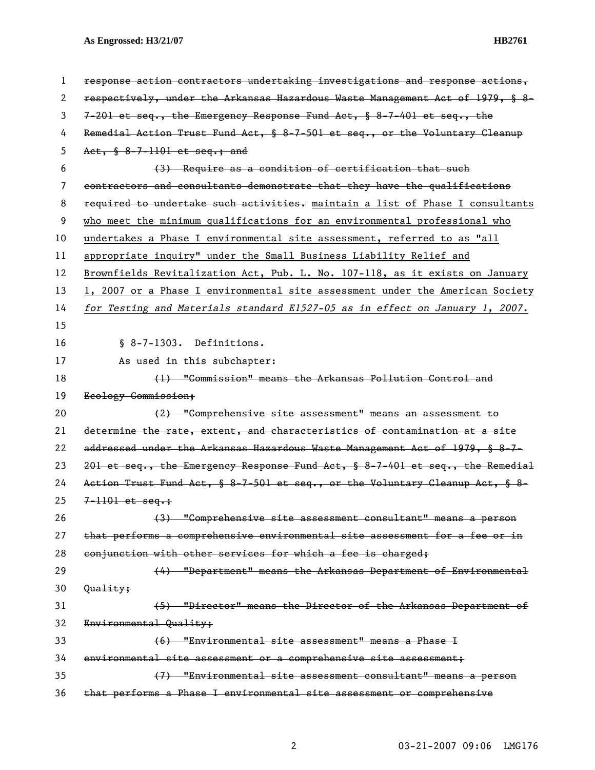| 1  | response action contractors undertaking investigations and response actions,     |
|----|----------------------------------------------------------------------------------|
| 2  | respectively, under the Arkansas Hazardous Waste Management Act of 1979, § 8-    |
| 3  | $7-201$ et seq., the Emergency Response Fund Act, § 8-7-401 et seq., the         |
| 4  | Remedial Action Trust Fund Act, § 8-7-501 et seq., or the Voluntary Gleanup      |
| 5  | Act, § 8-7-1101 et seq.; and                                                     |
| 6  | (3) Require as a condition of certification that such                            |
| 7  | contractors and consultants demonstrate that they have the qualifications        |
| 8  | required to undertake such activities. maintain a list of Phase I consultants    |
| 9  | who meet the minimum qualifications for an environmental professional who        |
| 10 | undertakes a Phase I environmental site assessment, referred to as "all          |
| 11 | appropriate inquiry" under the Small Business Liability Relief and               |
| 12 | Brownfields Revitalization Act, Pub. L. No. 107-118, as it exists on January     |
| 13 | 1, 2007 or a Phase I environmental site assessment under the American Society    |
| 14 | for Testing and Materials standard E1527-05 as in effect on January 1, 2007.     |
| 15 |                                                                                  |
| 16 | § 8-7-1303. Definitions.                                                         |
| 17 | As used in this subchapter:                                                      |
| 18 | (1) "Commission" means the Arkansas Pollution Control and                        |
|    |                                                                                  |
| 19 | Ecology Commission;                                                              |
| 20 | (2) "Comprehensive site assessment" means an assessment to                       |
| 21 | determine the rate, extent, and characteristics of contamination at a site       |
| 22 | addressed under the Arkansas Hazardous Waste Management Act of 1979, § 8-7-      |
| 23 | 201 et seq., the Emergency Response Fund Act, $\S$ 8-7-401 et seq., the Remedial |
| 24 | Action Trust Fund Act, § 8-7-501 et seq., or the Voluntary Cleanup Act, § 8-     |
| 25 | $7 - 1101$ et seq.;                                                              |
| 26 | (3) "Comprehensive site assessment consultant" means a person                    |
| 27 | that performs a comprehensive environmental site assessment for a fee or in      |
| 28 | conjunction with other services for which a fee is charged;                      |
| 29 | (4) "Department" means the Arkansas Department of Environmental                  |
| 30 | Quality;                                                                         |
| 31 | (5) "Director" means the Director of the Arkansas Department of                  |
| 32 | Environmental Quality;                                                           |
| 33 | (6) "Environmental site assessment" means a Phase I                              |
| 34 | environmental site assessment or a comprehensive site assessment;                |
| 35 | (7) "Environmental site assessment consultant" means a person                    |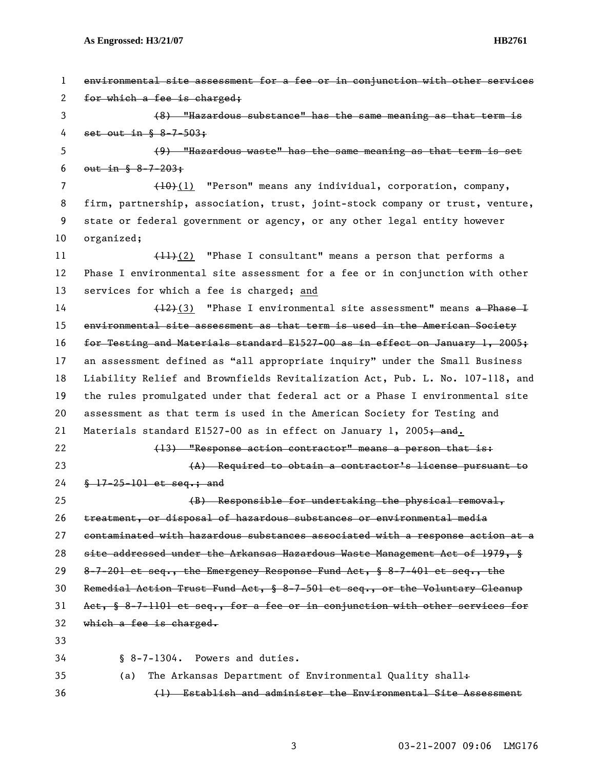| 1  | environmental site assessment for a fee or in conjunction with other services |
|----|-------------------------------------------------------------------------------|
| 2  | for which a fee is charged;                                                   |
| 3  | (8) "Hazardous substance" has the same meaning as that term is                |
| 4  | set out in $\frac{6}{5}$ 8-7-503;                                             |
| 5  | (9) "Hazardous waste" has the same meaning as that term is set                |
| 6  | $_{\text{out-in-S}}$ 8-7-203;                                                 |
| 7  | (10)(1) "Person" means any individual, corporation, company,                  |
| 8  | firm, partnership, association, trust, joint-stock company or trust, venture, |
| 9  | state or federal government or agency, or any other legal entity however      |
| 10 | organized;                                                                    |
| 11 | $(11)(2)$ "Phase I consultant" means a person that performs a                 |
| 12 | Phase I environmental site assessment for a fee or in conjunction with other  |
| 13 | services for which a fee is charged; and                                      |
| 14 | $(12)(3)$ "Phase I environmental site assessment" means a Phase I             |
| 15 | environmental site assessment as that term is used in the American Society    |
| 16 | for Testing and Materials standard E1527-00 as in effect on January 1, 2005;  |
| 17 | an assessment defined as "all appropriate inquiry" under the Small Business   |
| 18 | Liability Relief and Brownfields Revitalization Act, Pub. L. No. 107-118, and |
| 19 | the rules promulgated under that federal act or a Phase I environmental site  |
| 20 | assessment as that term is used in the American Society for Testing and       |
| 21 | Materials standard E1527-00 as in effect on January 1, 2005+ and.             |
| 22 | (13) "Response action contractor" means a person that is:                     |
| 23 | (A) Required to obtain a contractor's license pursuant to                     |
| 24 | $\frac{17-25-101}{100}$ et seq.; and                                          |
| 25 | (B) Responsible for undertaking the physical removal,                         |
| 26 | treatment, or disposal of hazardous substances or environmental media         |
| 27 | contaminated with hazardous substances associated with a response action at a |
| 28 | site addressed under the Arkansas Hazardous Waste Management Act of 1979, §   |
| 29 | 8-7-201 et seq., the Emergency Response Fund Act, § 8-7-401 et seq., the      |
| 30 | Remedial Action Trust Fund Act, § 8-7-501 et seq., or the Voluntary Cleanup   |
| 31 | Act, § 8-7-1101 et seq., for a fee or in conjunction with other services for  |
| 32 | which a fee is charged.                                                       |
| 33 |                                                                               |
| 34 | § 8-7-1304. Powers and duties.                                                |
| 35 | The Arkansas Department of Environmental Quality shall+<br>(a)                |
| 36 | (1) Establish and administer the Environmental Site Assessment                |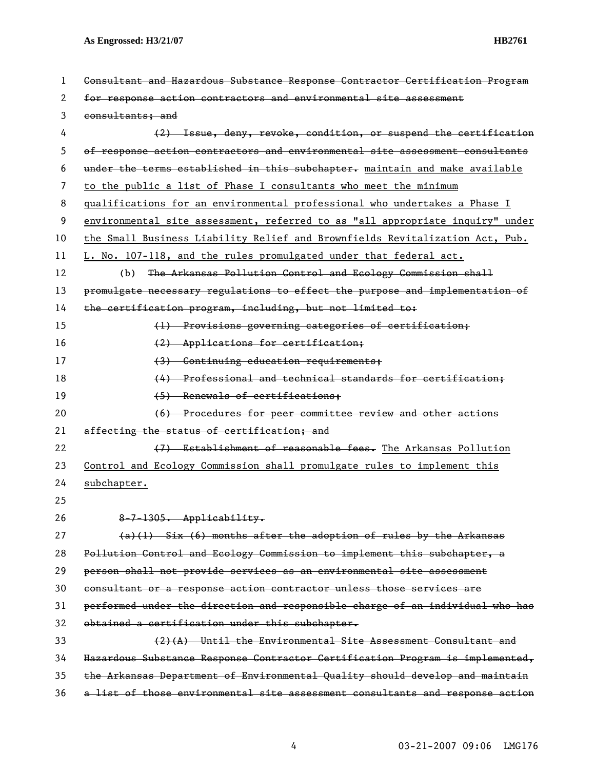| 1  | Consultant and Hazardous Substance Response Contractor Certification Program  |
|----|-------------------------------------------------------------------------------|
| 2  | for response action contractors and environmental site assessment             |
| 3  | consultants; and                                                              |
| 4  | (2) Issue, deny, revoke, condition, or suspend the certification              |
| 5  | of response action contractors and environmental site assessment consultants  |
| 6  | under the terms established in this subchapter. maintain and make available   |
| 7  | to the public a list of Phase I consultants who meet the minimum              |
| 8  | qualifications for an environmental professional who undertakes a Phase I     |
| 9  | environmental site assessment, referred to as "all appropriate inquiry" under |
| 10 | the Small Business Liability Relief and Brownfields Revitalization Act, Pub.  |
| 11 | L. No. 107-118, and the rules promulgated under that federal act.             |
| 12 | The Arkansas Pollution Control and Ecology Commission shall<br>(b)            |
| 13 | promulgate necessary regulations to effect the purpose and implementation of  |
| 14 | the certification program, including, but not limited to:                     |
| 15 | (1) Provisions governing categories of certification;                         |
| 16 | (2) Applications for certification;                                           |
| 17 | (3) Continuing education requirements;                                        |
| 18 | (4) Professional and technical standards for certification;                   |
| 19 | (5) Renewals of certifications;                                               |
| 20 | (6) Procedures for peer committee review and other actions                    |
| 21 | affecting the status of certification; and                                    |
| 22 | (7) Establishment of reasonable fees. The Arkansas Pollution                  |
| 23 | Control and Ecology Commission shall promulgate rules to implement this       |
| 24 | subchapter.                                                                   |
| 25 |                                                                               |
| 26 | 8-7-1305. Applicability.                                                      |
| 27 | $(a)(1)$ Six (6) months after the adoption of rules by the Arkansas           |
| 28 | Pollution Control and Ecology Commission to implement this subchapter, a      |
| 29 | person shall not provide services as an environmental site assessment         |
| 30 | consultant or a response action contractor unless those services are          |
| 31 | performed under the direction and responsible charge of an individual who has |
| 32 | obtained a certification under this subchapter.                               |
| 33 | $(2)$ $(A)$ Until the Environmental Site Assessment Consultant and            |
| 34 | Hazardous Substance Response Contractor Certification Program is implemented, |
| 35 | the Arkansas Department of Environmental Quality should develop and maintain  |
| 36 | a list of those environmental site assessment consultants and response action |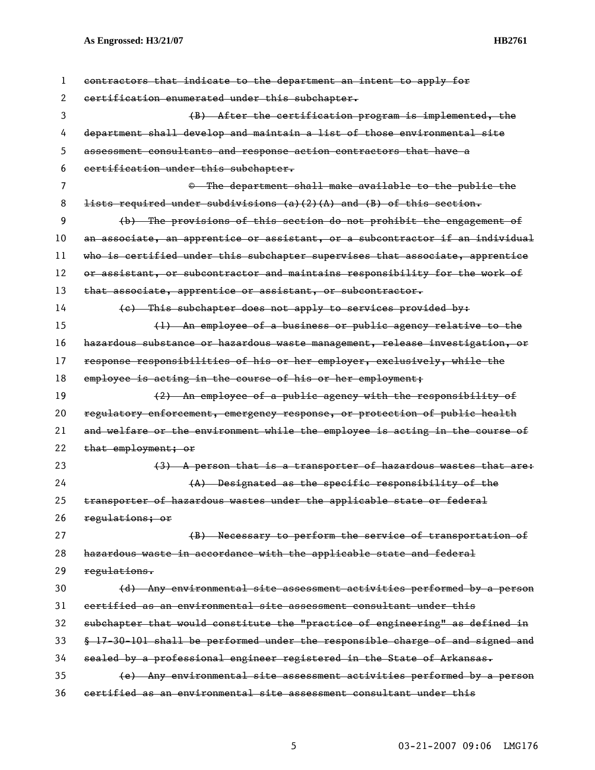| 1  | contractors that indicate to the department an intent to apply for            |
|----|-------------------------------------------------------------------------------|
| 2  | certification enumerated under this subchapter.                               |
| 3  | (B) After the certification program is implemented, the                       |
| 4  | department shall develop and maintain a list of those environmental site      |
| 5  | assessment consultants and response action contractors that have a            |
| 6  | certification under this subchapter.                                          |
| 7  | © The department shall make available to the public the                       |
| 8  | lists required under subdivisions (a)(2)(A) and (B) of this section.          |
| 9  | (b) The provisions of this section do not prohibit the engagement of          |
| 10 | an associate, an apprentice or assistant, or a subcontractor if an individual |
| 11 | who is certified under this subchapter supervises that associate, apprentice  |
| 12 | or assistant, or subcontractor and maintains responsibility for the work of   |
| 13 | that associate, apprentice or assistant, or subcontractor.                    |
| 14 | (e) This subchapter does not apply to services provided by:                   |
| 15 | (1) An employee of a business or public agency relative to the                |
| 16 | hazardous substance or hazardous waste management, release investigation, or  |
| 17 | response responsibilities of his or her employer, exclusively, while the      |
| 18 | employee is acting in the course of his or her employment;                    |
| 19 | (2) An employee of a public agency with the responsibility of                 |
| 20 | regulatory enforcement, emergency response, or protection of public health    |
| 21 | and welfare or the environment while the employee is acting in the course of  |
| 22 | that employment; or                                                           |
| 23 | (3) A person that is a transporter of hazardous wastes that are:              |
| 24 | (A) Designated as the specific responsibility of the                          |
| 25 | transporter of hazardous wastes under the applicable state or federal         |
| 26 | regulations; or                                                               |
| 27 | (B) Necessary to perform the service of transportation of                     |
| 28 | hazardous waste in accordance with the applicable state and federal           |
| 29 | regulations.                                                                  |
| 30 | (d) Any environmental site assessment activities performed by a person        |
| 31 | certified as an environmental site assessment consultant under this           |
| 32 | subchapter that would constitute the "practice of engineering" as defined in  |
| 33 | § 17-30-101 shall be performed under the responsible charge of and signed and |
| 34 | sealed by a professional engineer registered in the State of Arkansas.        |
| 35 | (e) Any environmental site assessment activities performed by a person        |
| 36 | certified as an environmental site assessment consultant under this           |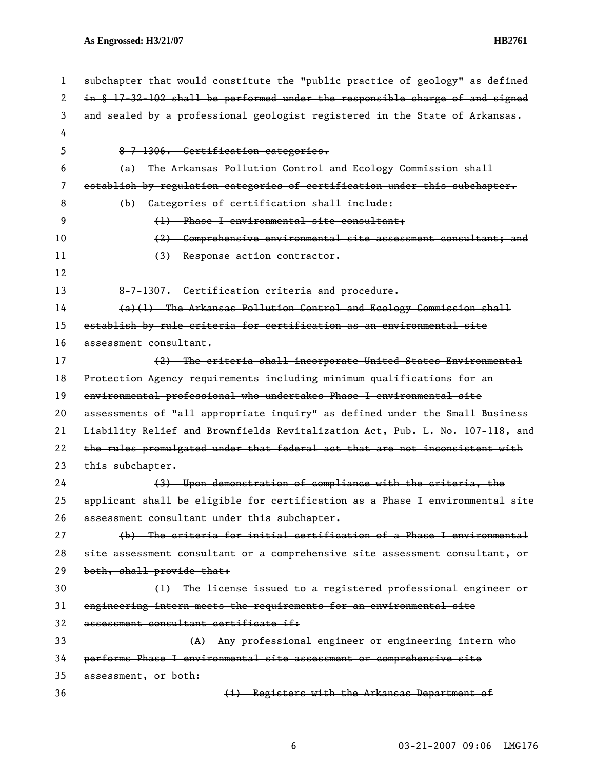| 1  | subchapter that would constitute the "public practice of geology" as defined  |
|----|-------------------------------------------------------------------------------|
| 2  | in § 17-32-102 shall be performed under the responsible charge of and signed  |
| 3  | and sealed by a professional geologist registered in the State of Arkansas.   |
| 4  |                                                                               |
| 5  | 8-7-1306. Certification categories.                                           |
| 6  | (a) The Arkansas Pollution Control and Ecology Commission shall               |
| 7  | establish by regulation categories of certification under this subchapter.    |
| 8  | (b) Categories of certification shall include:                                |
| 9  | (1) Phase I environmental site consultant;                                    |
| 10 | (2) Comprehensive environmental site assessment consultant; and               |
| 11 | $(3)$ Response action contractor.                                             |
| 12 |                                                                               |
| 13 | 8-7-1307. Certification criteria and procedure.                               |
| 14 | (a)(1) The Arkansas Pollution Control and Ecology Commission shall            |
| 15 | establish by rule criteria for certification as an environmental site         |
| 16 | assessment consultant.                                                        |
| 17 | (2) The criteria shall incorporate United States Environmental                |
| 18 | Protection Agency requirements including minimum qualifications for an        |
| 19 | environmental professional who undertakes Phase I environmental site          |
| 20 | assessments of "all appropriate inquiry" as defined under the Small Business  |
| 21 | Liability Relief and Brownfields Revitalization Act, Pub. L. No. 107-118, and |
| 22 | the rules promulgated under that federal act that are not inconsistent with   |
| 23 | this subchapter.                                                              |
| 24 | (3) Upon demonstration of compliance with the criteria, the                   |
| 25 | applicant shall be eligible for certification as a Phase I environmental site |
| 26 | assessment consultant under this subchapter.                                  |
| 27 | (b) The criteria for initial certification of a Phase I environmental         |
| 28 | site assessment consultant or a comprehensive site assessment consultant, or  |
| 29 | both, shall provide that:                                                     |
| 30 | (1) The license issued to a registered professional engineer or               |
| 31 | engineering intern meets the requirements for an environmental site           |
| 32 | assessment consultant certificate if:                                         |
| 33 | (A) Any professional engineer or engineering intern who                       |
| 34 | performs Phase I environmental site assessment or comprehensive site          |
| 35 | assessment, or both:                                                          |
| 36 | (i) Registers with the Arkansas Department of                                 |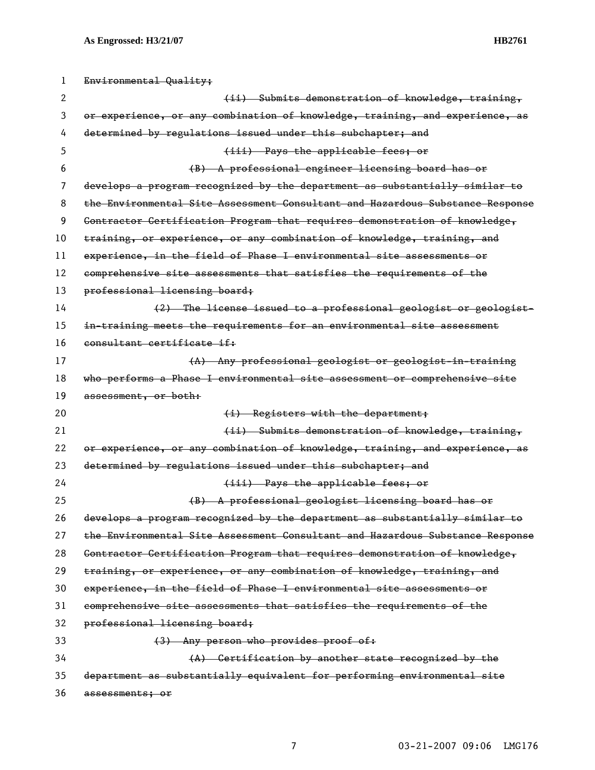| ı  | Environmental Quality;                                                        |
|----|-------------------------------------------------------------------------------|
| 2  | (ii) Submits demonstration of knowledge, training,                            |
| 3  | or experience, or any combination of knowledge, training, and experience, as  |
| 4  | determined by regulations issued under this subchapter; and                   |
| 5  | (iii) Pays the applicable fees; or                                            |
| 6  | (B) A professional engineer licensing board has or                            |
| 7  | develops a program recognized by the department as substantially similar to   |
| 8  | the Environmental Site Assessment Consultant and Hazardous Substance Response |
| 9  | Contractor Certification Program that requires demonstration of knowledge,    |
| 10 | training, or experience, or any combination of knowledge, training, and       |
| 11 | experience, in the field of Phase I environmental site assessments or         |
| 12 | comprehensive site assessments that satisfies the requirements of the         |
| 13 | professional licensing board;                                                 |
| 14 | (2) The license issued to a professional geologist or geologist-              |
| 15 | in-training meets the requirements for an environmental site assessment       |
| 16 | consultant certificate if:                                                    |
| 17 | (A) Any professional geologist or geologist-in-training                       |
| 18 | who performs a Phase I environmental site assessment or comprehensive site    |
| 19 | assessment, or both:                                                          |
| 20 | (i) Registers with the department;                                            |
| 21 | (ii) Submits demonstration of knowledge, training,                            |
| 22 | or experience, or any combination of knowledge, training, and experience, as  |
| 23 | determined by regulations issued under this subchapter; and                   |
| 24 | (iii) Pays the applicable fees; or                                            |
| 25 | (B) A professional geologist licensing board has or                           |
| 26 | develops a program recognized by the department as substantially similar to   |
| 27 | the Environmental Site Assessment Consultant and Hazardous Substance Response |
| 28 | Contractor Certification Program that requires demonstration of knowledge,    |
| 29 | training, or experience, or any combination of knowledge, training, and       |
| 30 | experience, in the field of Phase I environmental site assessments or         |
| 31 | comprehensive site assessments that satisfies the requirements of the         |
| 32 | professional licensing board;                                                 |
| 33 | (3) Any person who provides proof of:                                         |
| 34 |                                                                               |
|    | (A) Certification by another state recognized by the                          |
| 35 | department as substantially equivalent for performing environmental site      |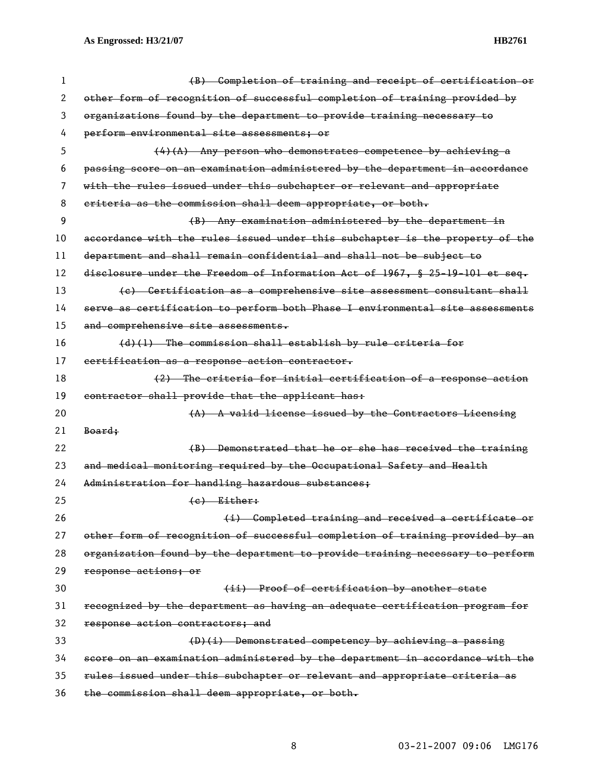| 1  | (B) Completion of training and receipt of certification or                      |
|----|---------------------------------------------------------------------------------|
| 2  | other form of recognition of successful completion of training provided by      |
| 3  | organizations found by the department to provide training necessary to          |
| 4  | perform environmental site assessments; or                                      |
| 5  | $(4)$ (A) Any person who demonstrates competence by achieving a                 |
| 6  | passing score on an examination administered by the department in accordance    |
| 7  | with the rules issued under this subchapter or relevant and appropriate         |
| 8  | criteria as the commission shall deem appropriate, or both.                     |
| 9  | (B) Any examination administered by the department in                           |
| 10 | accordance with the rules issued under this subchapter is the property of the   |
| 11 | department and shall remain confidential and shall not be subject to            |
| 12 | disclosure under the Freedom of Information Act of 1967, $\S$ 25-19-101 et seq. |
| 13 | (e) Certification as a comprehensive site assessment consultant shall           |
| 14 | serve as certification to perform both Phase I environmental site assessments   |
| 15 | and comprehensive site assessments.                                             |
| 16 | $(d)(1)$ The commission shall establish by rule criteria for                    |
| 17 | certification as a response action contractor.                                  |
| 18 | (2) The criteria for initial certification of a response action                 |
| 19 | contractor shall provide that the applicant has:                                |
| 20 | (A) A valid license issued by the Contractors Licensing                         |
| 21 | Board;                                                                          |
| 22 | (B) Demonstrated that he or she has received the training                       |
| 23 | and medical monitoring required by the Occupational Safety and Health           |
| 24 | Administration for handling hazardous substances;                               |
| 25 | $(e)$ Either:                                                                   |
| 26 | (i) Completed training and received a certificate or                            |
| 27 | other form of recognition of successful completion of training provided by an   |
| 28 | organization found by the department to provide training necessary to perform   |
| 29 | response actions; or                                                            |
| 30 | (ii) Proof of certification by another state                                    |
| 31 | recognized by the department as having an adequate certification program for    |
| 32 | response action contractors; and                                                |
| 33 | $(D)(i)$ Demonstrated competency by achieving a passing                         |
| 34 | score on an examination administered by the department in accordance with the   |
| 35 | rules issued under this subchapter or relevant and appropriate criteria as      |
|    |                                                                                 |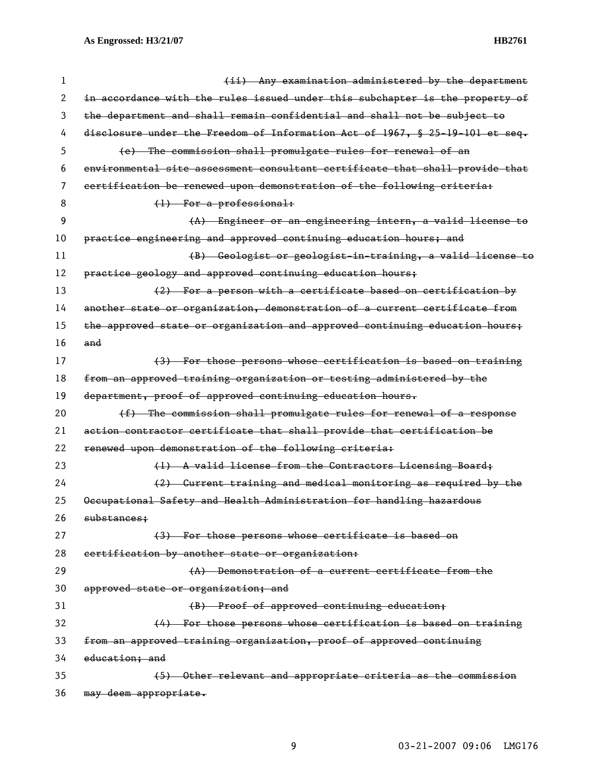| 1  | (ii) Any examination administered by the department                          |
|----|------------------------------------------------------------------------------|
| 2  | in accordance with the rules issued under this subchapter is the property of |
| 3  | the department and shall remain confidential and shall not be subject to     |
| 4  | disclosure under the Freedom of Information Act of 1967, § 25-19-101 et seq. |
| 5  | (e) The commission shall promulgate rules for renewal of an                  |
| 6  | environmental site assessment consultant certificate that shall provide that |
| 7  | certification be renewed upon demonstration of the following criteria:       |
| 8  | $(1)$ For a professional:                                                    |
| 9  | (A) Engineer or an engineering intern, a valid license to                    |
| 10 | practice engineering and approved continuing education hours; and            |
| 11 | (B) Geologist or geologist in training, a valid license to                   |
| 12 | practice geology and approved continuing education hours;                    |
| 13 | (2) For a person with a certificate based on certification by                |
| 14 | another state or organization, demonstration of a current certificate from   |
| 15 | the approved state or organization and approved continuing education hours;  |
| 16 | and                                                                          |
| 17 | (3) For those persons whose certification is based on training               |
| 18 | from an approved training organization or testing administered by the        |
| 19 | department, proof of approved continuing education hours.                    |
| 20 | (f) The commission shall promulgate rules for renewal of a response          |
| 21 | action contractor certificate that shall provide that certification be       |
| 22 | renewed upon demonstration of the following criteria:                        |
| 23 | (1) A valid license from the Contractors Licensing Board;                    |
| 24 | (2) Current training and medical monitoring as required by the               |
| 25 | Occupational Safety and Health Administration for handling hazardous         |
| 26 | substances;                                                                  |
| 27 | (3) For those persons whose certificate is based on                          |
| 28 | certification by another state or organization:                              |
| 29 | (A) Demonstration of a current certificate from the                          |
| 30 | approved state or organization; and                                          |
| 31 | (B) Proof of approved continuing education;                                  |
| 32 | (4) For those persons whose certification is based on training               |
| 33 | from an approved training organization, proof of approved continuing         |
| 34 | education; and                                                               |
| 35 | (5) Other relevant and appropriate criteria as the commission                |
| 36 | may deem appropriate.                                                        |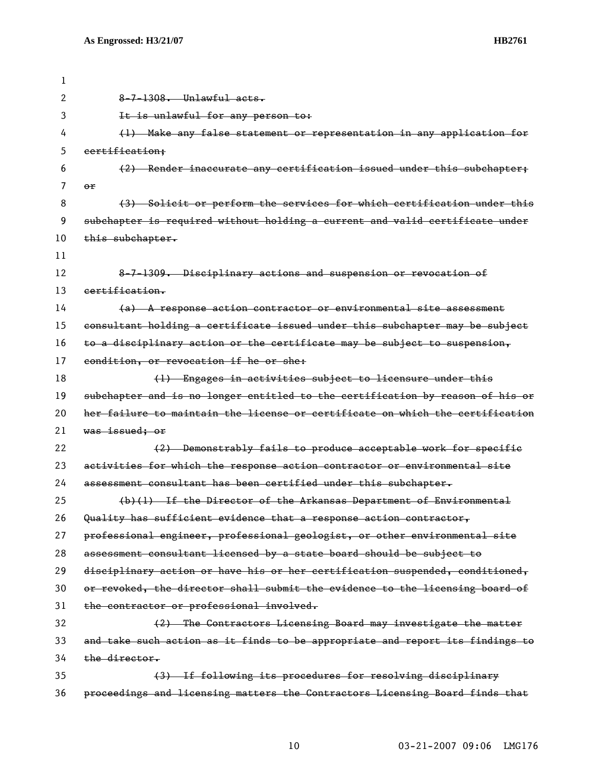| 1  |                                                                               |
|----|-------------------------------------------------------------------------------|
| 2  | $8-7-1308$ . Unlawful acts.                                                   |
| 3  | It is unlawful for any person to:                                             |
| 4  | (1) Make any false statement or representation in any application for         |
| 5  | certification;                                                                |
| 6  | (2) Render inaccurate any certification issued under this subchapter;         |
| 7  | or                                                                            |
| 8  | (3) Solicit or perform the services for which certification under this        |
| 9  | subchapter is required without holding a current and valid certificate under  |
| 10 | this subchapter.                                                              |
| 11 |                                                                               |
| 12 | 8-7-1309. Disciplinary actions and suspension or revocation of                |
| 13 | certification.                                                                |
| 14 | $(a)$ A response action contractor or environmental site assessment           |
| 15 | consultant holding a certificate issued under this subchapter may be subject  |
| 16 | to a disciplinary action or the certificate may be subject to suspension,     |
| 17 | condition, or revocation if he or she:                                        |
| 18 | (1) Engages in activities subject to licensure under this                     |
| 19 | subchapter and is no longer entitled to the certification by reason of his or |
| 20 | her failure to maintain the license or certificate on which the certification |
| 21 | was issued; or                                                                |
| 22 | (2) Demonstrably fails to produce acceptable work for specific                |
| 23 | activities for which the response action contractor or environmental site     |
| 24 | assessment consultant has been certified under this subchapter.               |
| 25 | (b)(1) If the Director of the Arkansas Department of Environmental            |
| 26 | Quality has sufficient evidence that a response action contractor,            |
| 27 | professional engineer, professional geologist, or other environmental site    |
| 28 | assessment consultant licensed by a state board should be subject to          |
| 29 | disciplinary action or have his or her certification suspended, conditioned,  |
| 30 | or revoked, the director shall submit the evidence to the licensing board of  |
| 31 | the contractor or professional involved.                                      |
| 32 | (2) The Contractors Licensing Board may investigate the matter                |
| 33 | and take such action as it finds to be appropriate and report its findings to |
| 34 | the director.                                                                 |
| 35 | (3) If following its procedures for resolving disciplinary                    |
| 36 | proceedings and licensing matters the Contractors Licensing Board finds that  |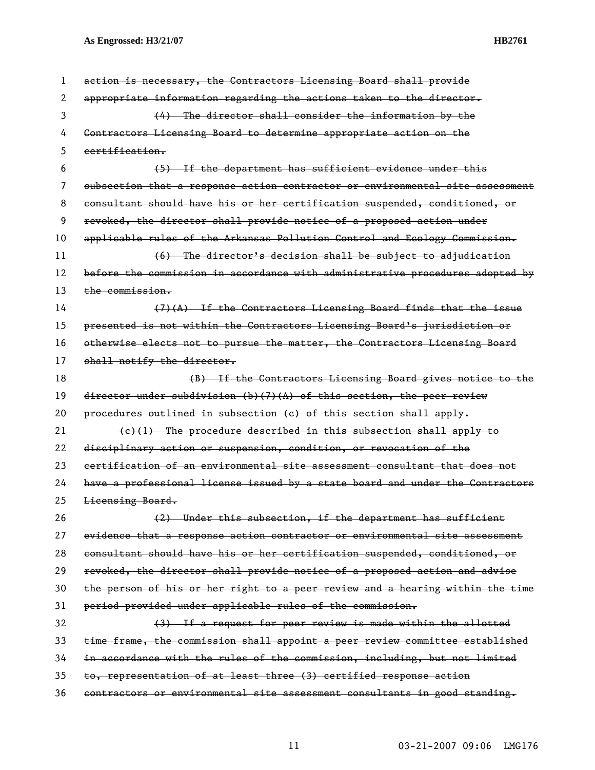| 1  | action is necessary, the Contractors Licensing Board shall provide            |
|----|-------------------------------------------------------------------------------|
| 2  | appropriate information regarding the actions taken to the director.          |
| 3  | $(4)$ The director shall consider the information by the                      |
| 4  | Contractors Licensing Board to determine appropriate action on the            |
| 5  | certification.                                                                |
| 6  | (5) If the department has sufficient evidence under this                      |
| 7  | subsection that a response action contractor or environmental site assessment |
| 8  | consultant should have his or her certification suspended, conditioned, or    |
| 9  | revoked, the director shall provide notice of a proposed action under         |
| 10 | applicable rules of the Arkansas Pollution Control and Ecology Commission.    |
| 11 | (6) The director's decision shall be subject to adjudication                  |
| 12 | before the commission in accordance with administrative procedures adopted by |
| 13 | the commission.                                                               |
| 14 | $(7)$ $(A)$ If the Contractors Licensing Board finds that the issue           |
| 15 | presented is not within the Contractors Licensing Board's jurisdiction or     |
| 16 | otherwise elects not to pursue the matter, the Contractors Licensing Board    |
| 17 | shall notify the director.                                                    |
| 18 | (B) If the Contractors Licensing Board gives notice to the                    |
| 19 | director under subdivision $(b)$ (7) (A) of this section, the peer review     |
| 20 | procedures outlined in subsection (c) of this section shall apply.            |
| 21 | $(e)(1)$ The procedure described in this subsection shall apply to            |
| 22 | disciplinary action or suspension, condition, or revocation of the            |
| 23 | certification of an environmental site assessment consultant that does not    |
| 24 | have a professional license issued by a state board and under the Contractors |
| 25 | Licensing Board.                                                              |
| 26 | (2) Under this subsection, if the department has sufficient                   |
| 27 | evidence that a response action contractor or environmental site assessment   |
| 28 | consultant should have his or her certification suspended, conditioned, or    |
| 29 | revoked, the director shall provide notice of a proposed action and advise    |
| 30 | the person of his or her right to a peer review and a hearing within the time |
| 31 | period provided under applicable rules of the commission.                     |
| 32 | (3) If a request for peer review is made within the allotted                  |
| 33 | time frame, the commission shall appoint a peer review committee established  |
| 34 | in accordance with the rules of the commission, including, but not limited    |
| 35 | to, representation of at least three (3) certified response action            |
| 36 | contractors or environmental site assessment consultants in good standing.    |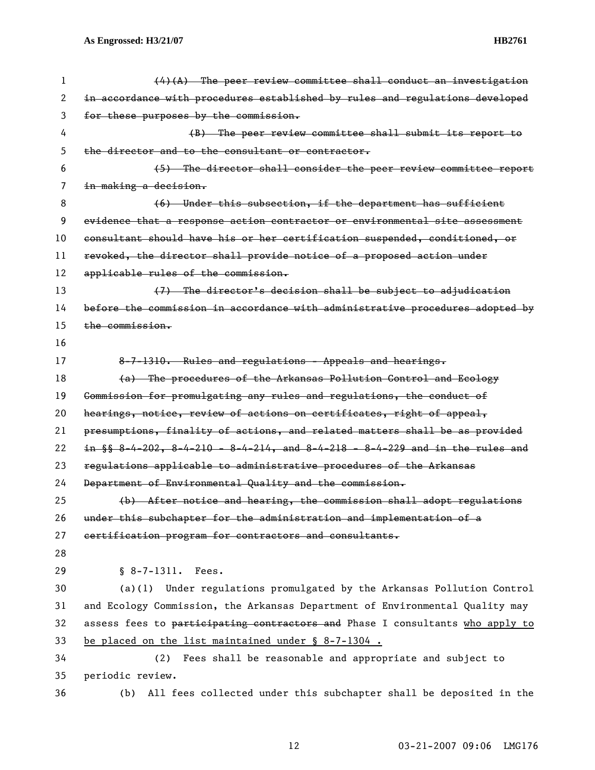| 1  | $(4)$ (A) The peer review committee shall conduct an investigation             |
|----|--------------------------------------------------------------------------------|
| 2  | in accordance with procedures established by rules and regulations developed   |
| 3  | for these purposes by the commission.                                          |
| 4  | (B) The peer review committee shall submit its report to                       |
| 5  | the director and to the consultant or contractor.                              |
| 6  | (5) The director shall consider the peer review committee report               |
| 7  | in making a decision.                                                          |
| 8  | (6) Under this subsection, if the department has sufficient                    |
| 9  | evidence that a response action contractor or environmental site assessment    |
| 10 | consultant should have his or her certification suspended, conditioned, or     |
| 11 | revoked, the director shall provide notice of a proposed action under          |
| 12 | applicable rules of the commission.                                            |
| 13 | (7) The director's decision shall be subject to adjudication                   |
| 14 | before the commission in accordance with administrative procedures adopted by  |
| 15 | the commission.                                                                |
| 16 |                                                                                |
| 17 | 8-7-1310. Rules and regulations - Appeals and hearings.                        |
| 18 | (a) The procedures of the Arkansas Pollution Control and Ecology               |
| 19 | Commission for promulgating any rules and regulations, the conduct of          |
| 20 | hearings, notice, review of actions on certificates, right of appeal,          |
| 21 | presumptions, finality of actions, and related matters shall be as provided    |
| 22 | in $\S$ 8-4-202, 8-4-210 - 8-4-214, and 8-4-218 - 8-4-229 and in the rules and |
| 23 | regulations applicable to administrative procedures of the Arkansas            |
| 24 | Department of Environmental Quality and the commission.                        |
| 25 | (b) After notice and hearing, the commission shall adopt regulations           |
| 26 | under this subchapter for the administration and implementation of a           |
| 27 | certification program for contractors and consultants.                         |
| 28 |                                                                                |
| 29 | $$8-7-1311.$ Fees.                                                             |
| 30 | (a)(1) Under regulations promulgated by the Arkansas Pollution Control         |
| 31 | and Ecology Commission, the Arkansas Department of Environmental Quality may   |
| 32 | assess fees to participating contractors and Phase I consultants who apply to  |
| 33 | be placed on the list maintained under § 8-7-1304.                             |
| 34 | Fees shall be reasonable and appropriate and subject to<br>(2)                 |
| 35 | periodic review.                                                               |
| 36 | All fees collected under this subchapter shall be deposited in the<br>(b)      |